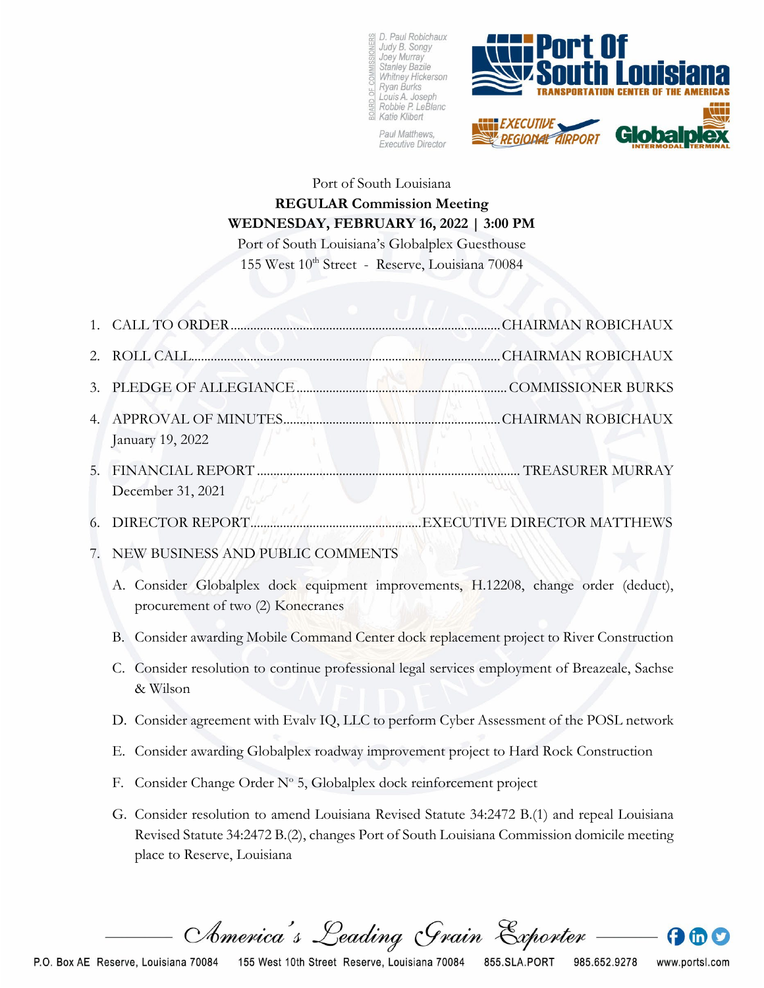

Paul Matthews, **Executive Director** 



## Port of South Louisiana **REGULAR Commission Meeting WEDNESDAY, FEBRUARY 16, 2022 | 3:00 PM**

Port of South Louisiana's Globalplex Guesthouse 155 West 10th Street - Reserve, Louisiana 70084

| 1. |                                                                                                                                                                                                                           |  |
|----|---------------------------------------------------------------------------------------------------------------------------------------------------------------------------------------------------------------------------|--|
| 2. |                                                                                                                                                                                                                           |  |
| 3. |                                                                                                                                                                                                                           |  |
| 4. | January 19, 2022                                                                                                                                                                                                          |  |
| 5. | December 31, 2021                                                                                                                                                                                                         |  |
| 6. |                                                                                                                                                                                                                           |  |
| 7. | NEW BUSINESS AND PUBLIC COMMENTS                                                                                                                                                                                          |  |
|    | A. Consider Globalplex dock equipment improvements, H.12208, change order (deduct),<br>procurement of two (2) Konecranes                                                                                                  |  |
|    | B. Consider awarding Mobile Command Center dock replacement project to River Construction                                                                                                                                 |  |
|    | Consider resolution to continue professional legal services employment of Breazeale, Sachse<br>C.<br>& Wilson                                                                                                             |  |
|    | D. Consider agreement with Evalv IQ, LLC to perform Cyber Assessment of the POSL network                                                                                                                                  |  |
|    | E. Consider awarding Globalplex roadway improvement project to Hard Rock Construction                                                                                                                                     |  |
|    | Consider Change Order $N^{\circ}$ 5, Globalplex dock reinforcement project<br>F.                                                                                                                                          |  |
|    | G. Consider resolution to amend Louisiana Revised Statute 34:2472 B.(1) and repeal Louisiana<br>Revised Statute 34:2472 B.(2), changes Port of South Louisiana Commission domicile meeting<br>place to Reserve, Louisiana |  |

America's Leading Grain Exporter

985.652.9278

www.portsl.com

 $\bigoplus$  th  $\bigcirc$ 

155 West 10th Street Reserve, Louisiana 70084 855.SLA.PORT P.O. Box AE Reserve, Louisiana 70084